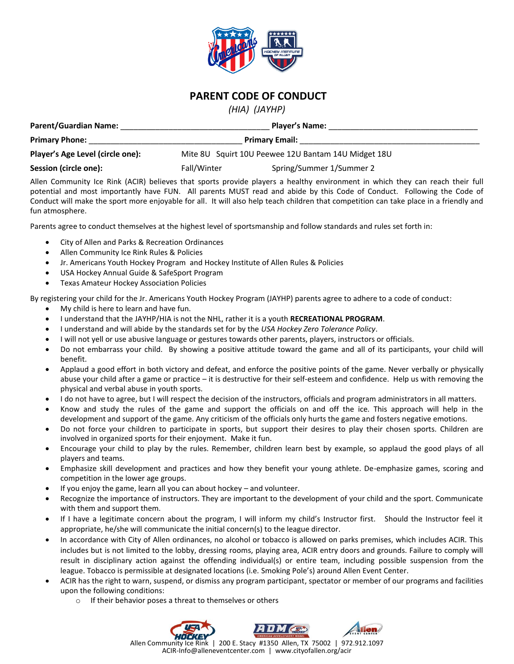

## **PARENT CODE OF CONDUCT**

*(HIA) (JAYHP)*

| <b>Parent/Guardian Name:</b>     | <b>Player's Name:</b><br><b>Primary Email:</b>      |                          |  |
|----------------------------------|-----------------------------------------------------|--------------------------|--|
| <b>Primary Phone:</b>            |                                                     |                          |  |
| Player's Age Level (circle one): | Mite 8U Squirt 10U Peewee 12U Bantam 14U Midget 18U |                          |  |
| Session (circle one):            | Fall/Winter                                         | Spring/Summer 1/Summer 2 |  |

Allen Community Ice Rink (ACIR) believes that sports provide players a healthy environment in which they can reach their full potential and most importantly have FUN. All parents MUST read and abide by this Code of Conduct. Following the Code of Conduct will make the sport more enjoyable for all. It will also help teach children that competition can take place in a friendly and fun atmosphere.

Parents agree to conduct themselves at the highest level of sportsmanship and follow standards and rules set forth in:

- City of Allen and Parks & Recreation Ordinances
- Allen Community Ice Rink Rules & Policies
- Jr. Americans Youth Hockey Program and Hockey Institute of Allen Rules & Policies
- USA Hockey Annual Guide & SafeSport Program
- Texas Amateur Hockey Association Policies

By registering your child for the Jr. Americans Youth Hockey Program (JAYHP) parents agree to adhere to a code of conduct:

- My child is here to learn and have fun.
- I understand that the JAYHP/HIA is not the NHL, rather it is a youth **RECREATIONAL PROGRAM**.
- I understand and will abide by the standards set for by the *USA Hockey Zero Tolerance Policy*.
- I will not yell or use abusive language or gestures towards other parents, players, instructors or officials.
- Do not embarrass your child. By showing a positive attitude toward the game and all of its participants, your child will benefit.
- Applaud a good effort in both victory and defeat, and enforce the positive points of the game. Never verbally or physically abuse your child after a game or practice – it is destructive for their self-esteem and confidence. Help us with removing the physical and verbal abuse in youth sports.
- I do not have to agree, but I will respect the decision of the instructors, officials and program administrators in all matters.
- Know and study the rules of the game and support the officials on and off the ice. This approach will help in the development and support of the game. Any criticism of the officials only hurts the game and fosters negative emotions.
- Do not force your children to participate in sports, but support their desires to play their chosen sports. Children are involved in organized sports for their enjoyment. Make it fun.
- Encourage your child to play by the rules. Remember, children learn best by example, so applaud the good plays of all players and teams.
- Emphasize skill development and practices and how they benefit your young athlete. De-emphasize games, scoring and competition in the lower age groups.
- If you enjoy the game, learn all you can about hockey and volunteer.
- Recognize the importance of instructors. They are important to the development of your child and the sport. Communicate with them and support them.
- If I have a legitimate concern about the program, I will inform my child's Instructor first. Should the Instructor feel it appropriate, he/she will communicate the initial concern(s) to the league director.
- In accordance with City of Allen ordinances, no alcohol or tobacco is allowed on parks premises, which includes ACIR. This includes but is not limited to the lobby, dressing rooms, playing area, ACIR entry doors and grounds. Failure to comply will result in disciplinary action against the offending individual(s) or entire team, including possible suspension from the league. Tobacco is permissible at designated locations (i.e. Smoking Pole's) around Allen Event Center.
- ACIR has the right to warn, suspend, or dismiss any program participant, spectator or member of our programs and facilities upon the following conditions:
	- o If their behavior poses a threat to themselves or others